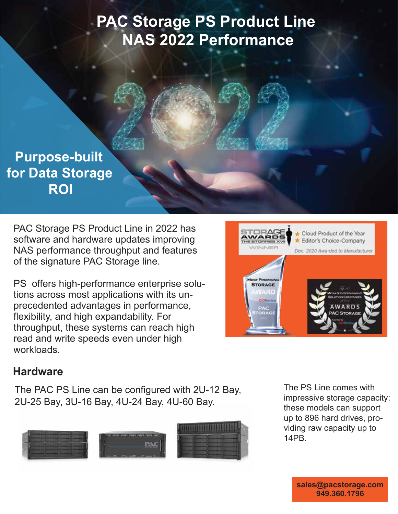# **PAC Storage PS Product Line NAS 2022 Performance**

# **Purpose-built for Data Storage ROI**

PAC Storage PS Product Line in 2022 has software and hardware updates improving NAS performance throughput and features of the signature PAC Storage line.

PS offers high-performance enterprise solutions across most applications with its unprecedented advantages in performance, flexibility, and high expandability. For throughput, these systems can reach high read and write speeds even under high workloads.



## **Hardware**

The PAC PS Line can be configured with 2U-12 Bay, 2U-25 Bay, 3U-16 Bay, 4U-24 Bay, 4U-60 Bay.



The PS Line comes with impressive storage capacity: these models can support up to 896 hard drives, providing raw capacity up to 14PB.

> **sales@pacstorage.com 949.360.1796**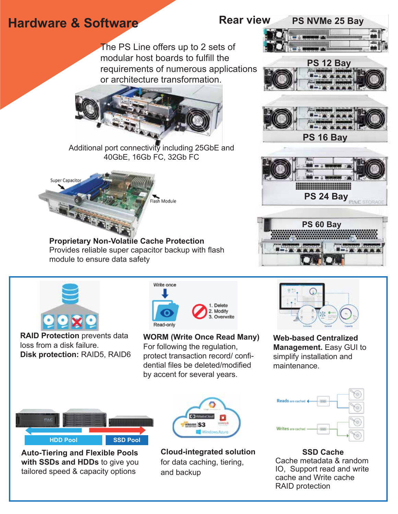# **Hardware & Software**  Rear view

The PS Line offers up to 2 sets of modular host boards to fulfill the requirements of numerous applications or architecture transformation.



Additional port connectivity including 25GbE and 40GbE, 16Gb FC, 32Gb FC



**Proprietary Non-Volatile Cache Protection** Provides reliable super capacitor backup with flash module to ensure data safety



**RAID Protection** prevents data loss from a disk failure. **Disk protection:** RAID5, RAID6



**WORM (Write Once Read Many)** For following the regulation, protect transaction record/ confidential files be deleted/modified by accent for several years.



**Auto-Tiering and Flexible Pools with SSDs and HDDs** to give you tailored speed & capacity options



**Cloud-integrated solution**  for data caching, tiering, and backup













**Web-based Centralized Management.** Easy GUI to simplify installation and maintenance.



**SSD Cache** Cache metadata & random IO, Support read and write cache and Write cache RAID protection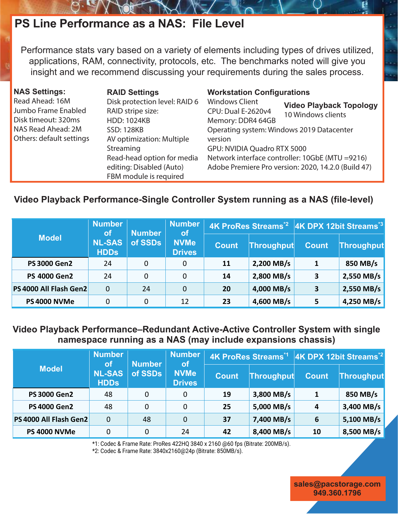## **PS Line Performance as a NAS: File Level**

Performance stats vary based on a variety of elements including types of drives utilized, applications, RAM, connectivity, protocols, etc. The benchmarks noted will give you insight and we recommend discussing your requirements during the sales process.

| <b>NAS Settings:</b>                      | <b>RAID Settings</b>                                                             | <b>Workstation Configurations</b>                                                                      |                                                      |  |  |
|-------------------------------------------|----------------------------------------------------------------------------------|--------------------------------------------------------------------------------------------------------|------------------------------------------------------|--|--|
| Read Ahead: 16M<br>Jumbo Frame Enabled    | Disk protection level: RAID 6<br>RAID stripe size:                               | <b>Windows Client</b><br><b>CPU: Dual E-2620v4</b>                                                     | <b>Video Playback Topology</b><br>10 Windows clients |  |  |
| Disk timeout: 320ms<br>NAS Read Ahead: 2M | <b>HDD: 1024KB</b><br><b>SSD: 128KB</b>                                          | Memory: DDR4 64GB                                                                                      | Operating system: Windows 2019 Datacenter            |  |  |
| Others: default settings                  | AV optimization: Multiple<br>Streaming                                           | version<br>GPU: NVIDIA Quadro RTX 5000                                                                 |                                                      |  |  |
|                                           | Read-head option for media<br>editing: Disabled (Auto)<br>FBM module is required | Network interface controller: 10GbE (MTU =9216)<br>Adobe Premiere Pro version: 2020, 14.2.0 (Build 47) |                                                      |  |  |

#### **Video Playback Performance-Single Controller System running as a NAS (file-level)**

| <b>Model</b>           | <b>Number</b>                | <b>Number</b><br><b>of</b><br>of SSDs | <b>Number</b><br><b>of</b><br><b>NVMe</b><br><b>Drives</b> |              |            | 4K ProRes Streams <sup>*2</sup> 4K DPX 12bit Streams <sup>*3</sup> |                   |
|------------------------|------------------------------|---------------------------------------|------------------------------------------------------------|--------------|------------|--------------------------------------------------------------------|-------------------|
|                        | <b>NL-SAS</b><br><b>HDDs</b> |                                       |                                                            | <b>Count</b> | Throughput | <b>Count</b>                                                       | <b>Throughput</b> |
| <b>PS 3000 Gen2</b>    | 24                           | 0                                     | 0                                                          | <b>11</b>    | 2,200 MB/s |                                                                    | 850 MB/s          |
| <b>PS 4000 Gen2</b>    | 24                           | 0                                     | 0                                                          | 14           | 2,800 MB/s | 3                                                                  | $2,550$ MB/s      |
| PS 4000 All Flash Gen2 | 0                            | 24                                    | 0                                                          | 20           | 4,000 MB/s | 3                                                                  | 2,550 MB/s        |
| <b>PS 4000 NVMe</b>    | 0                            | 0                                     | 12                                                         | 23           | 4,600 MB/s |                                                                    | $4,250$ MB/s      |

#### **Video Playback Performance–Redundant Active-Active Controller System with single namespace running as a NAS (may include expansions chassis)**

| <b>Model</b>           | <b>Number</b><br>lof l       | <b>Number</b><br>of SSDs | <b>Number</b><br><b>of</b><br><b>NVMe</b><br><b>Drives</b> |              |            | 4K ProRes Streams*1 4K DPX 12bit Streams*2 |              |
|------------------------|------------------------------|--------------------------|------------------------------------------------------------|--------------|------------|--------------------------------------------|--------------|
|                        | <b>NL-SAS</b><br><b>HDDs</b> |                          |                                                            | <b>Count</b> | Throughput | <b>Count</b>                               | Throughput   |
| <b>PS 3000 Gen2</b>    | 48                           | 0                        | 0                                                          | 19           | 3,800 MB/s |                                            | 850 MB/s     |
| <b>PS 4000 Gen2</b>    | 48                           | 0                        | 0                                                          | 25           | 5,000 MB/s | 4                                          | 3,400 MB/s   |
| PS 4000 All Flash Gen2 | 0                            | 48                       | $\mathbf 0$                                                | 37           | 7,400 MB/s | 6                                          | $5,100$ MB/s |
| <b>PS 4000 NVMe</b>    | 0                            | 0                        | 24                                                         | 42           | 8,400 MB/s | 10                                         | 8,500 MB/s   |

\*1: Codec & Frame Rate: ProRes 422HQ 3840 x 2160 @60 fps (Bitrate: 200MB/s).

\*2: Codec & Frame Rate: 3840x2160@24p (Bitrate: 850MB/s).

**sales@pacstorage.com 949.360.1796**